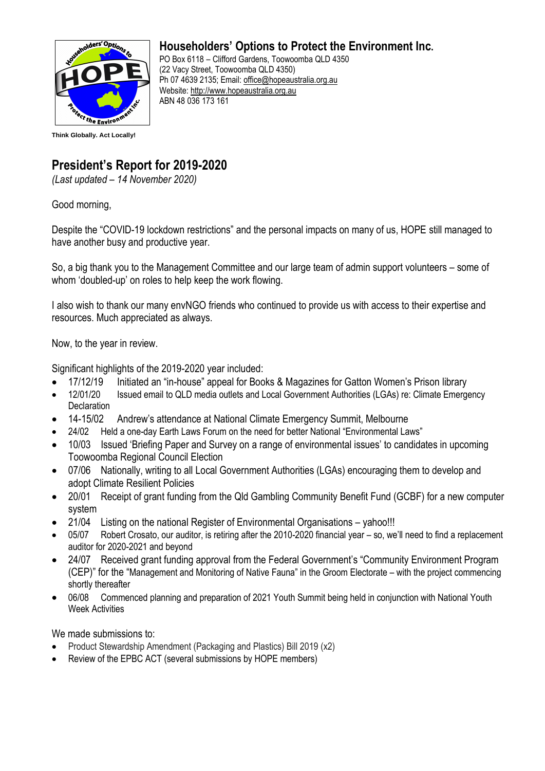

## **Householders' Options to Protect the Environment Inc.**

PO Box 6118 – Clifford Gardens, Toowoomba QLD 4350 (22 Vacy Street, Toowoomba QLD 4350) Ph 07 4639 2135; Email: office@hopeaustralia.org.au Website: [http://www.hopeaustralia.org.au](http://www.hopeaustralia.org.au/) ABN 48 036 173 161

## **President's Report for 2019-2020**

*(Last updated – 14 November 2020)*

Good morning,

Despite the "COVID-19 lockdown restrictions" and the personal impacts on many of us, HOPE still managed to have another busy and productive year.

So, a big thank you to the Management Committee and our large team of admin support volunteers – some of whom 'doubled-up' on roles to help keep the work flowing.

I also wish to thank our many envNGO friends who continued to provide us with access to their expertise and resources. Much appreciated as always.

Now, to the year in review.

Significant highlights of the 2019-2020 year included:

- 17/12/19 Initiated an "in-house" appeal for Books & Magazines for Gatton Women's Prison library
- 12/01/20 Issued email to QLD media outlets and Local Government Authorities (LGAs) re: Climate Emergency **Declaration**
- 14-15/02 Andrew's attendance at National Climate Emergency Summit, Melbourne
- 24/02 Held a one-day Earth Laws Forum on the need for better National "Environmental Laws"
- 10/03 Issued 'Briefing Paper and Survey on a range of environmental issues' to candidates in upcoming Toowoomba Regional Council Election
- 07/06 Nationally, writing to all Local Government Authorities (LGAs) encouraging them to develop and adopt Climate Resilient Policies
- 20/01 Receipt of grant funding from the Qld Gambling Community Benefit Fund (GCBF) for a new computer system
- 21/04 Listing on the national Register of Environmental Organisations yahoo!!!
- 05/07 Robert Crosato, our auditor, is retiring after the 2010-2020 financial year so, we'll need to find a replacement auditor for 2020-2021 and beyond
- 24/07 Received grant funding approval from the Federal Government's "Community Environment Program (CEP)" for the "Management and Monitoring of Native Fauna" in the Groom Electorate – with the project commencing shortly thereafter
- 06/08 Commenced planning and preparation of 2021 Youth Summit being held in conjunction with National Youth Week Activities

We made submissions to:

- Product Stewardship Amendment (Packaging and Plastics) Bill 2019 (x2)
- Review of the EPBC ACT (several submissions by HOPE members)